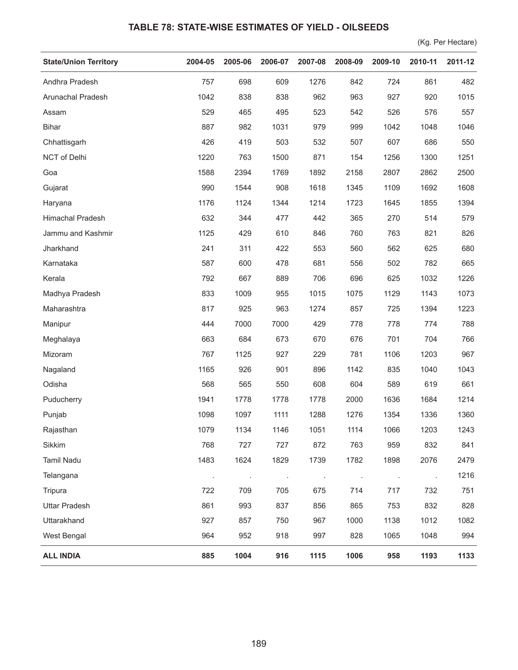## **TABLE 78: STATE-WISE ESTIMATES OF YIELD - OILSEEDS**

(Kg. Per Hectare)

| <b>State/Union Territory</b> | 2004-05 | 2005-06 | 2006-07 | 2007-08 | 2008-09 | 2009-10 | 2010-11 | 2011-12 |
|------------------------------|---------|---------|---------|---------|---------|---------|---------|---------|
| Andhra Pradesh               | 757     | 698     | 609     | 1276    | 842     | 724     | 861     | 482     |
| Arunachal Pradesh            | 1042    | 838     | 838     | 962     | 963     | 927     | 920     | 1015    |
| Assam                        | 529     | 465     | 495     | 523     | 542     | 526     | 576     | 557     |
| <b>Bihar</b>                 | 887     | 982     | 1031    | 979     | 999     | 1042    | 1048    | 1046    |
| Chhattisgarh                 | 426     | 419     | 503     | 532     | 507     | 607     | 686     | 550     |
| NCT of Delhi                 | 1220    | 763     | 1500    | 871     | 154     | 1256    | 1300    | 1251    |
| Goa                          | 1588    | 2394    | 1769    | 1892    | 2158    | 2807    | 2862    | 2500    |
| Gujarat                      | 990     | 1544    | 908     | 1618    | 1345    | 1109    | 1692    | 1608    |
| Haryana                      | 1176    | 1124    | 1344    | 1214    | 1723    | 1645    | 1855    | 1394    |
| Himachal Pradesh             | 632     | 344     | 477     | 442     | 365     | 270     | 514     | 579     |
| Jammu and Kashmir            | 1125    | 429     | 610     | 846     | 760     | 763     | 821     | 826     |
| Jharkhand                    | 241     | 311     | 422     | 553     | 560     | 562     | 625     | 680     |
| Karnataka                    | 587     | 600     | 478     | 681     | 556     | 502     | 782     | 665     |
| Kerala                       | 792     | 667     | 889     | 706     | 696     | 625     | 1032    | 1226    |
| Madhya Pradesh               | 833     | 1009    | 955     | 1015    | 1075    | 1129    | 1143    | 1073    |
| Maharashtra                  | 817     | 925     | 963     | 1274    | 857     | 725     | 1394    | 1223    |
| Manipur                      | 444     | 7000    | 7000    | 429     | 778     | 778     | 774     | 788     |
| Meghalaya                    | 663     | 684     | 673     | 670     | 676     | 701     | 704     | 766     |
| Mizoram                      | 767     | 1125    | 927     | 229     | 781     | 1106    | 1203    | 967     |
| Nagaland                     | 1165    | 926     | 901     | 896     | 1142    | 835     | 1040    | 1043    |
| Odisha                       | 568     | 565     | 550     | 608     | 604     | 589     | 619     | 661     |
| Puducherry                   | 1941    | 1778    | 1778    | 1778    | 2000    | 1636    | 1684    | 1214    |
| Punjab                       | 1098    | 1097    | 1111    | 1288    | 1276    | 1354    | 1336    | 1360    |
| Rajasthan                    | 1079    | 1134    | 1146    | 1051    | 1114    | 1066    | 1203    | 1243    |
| Sikkim                       | 768     | 727     | 727     | 872     | 763     | 959     | 832     | 841     |
| <b>Tamil Nadu</b>            | 1483    | 1624    | 1829    | 1739    | 1782    | 1898    | 2076    | 2479    |
| Telangana                    |         |         |         |         |         |         |         | 1216    |
| Tripura                      | 722     | 709     | 705     | 675     | 714     | 717     | 732     | 751     |
| <b>Uttar Pradesh</b>         | 861     | 993     | 837     | 856     | 865     | 753     | 832     | 828     |
| Uttarakhand                  | 927     | 857     | 750     | 967     | 1000    | 1138    | 1012    | 1082    |
| West Bengal                  | 964     | 952     | 918     | 997     | 828     | 1065    | 1048    | 994     |
| <b>ALL INDIA</b>             | 885     | 1004    | 916     | 1115    | 1006    | 958     | 1193    | 1133    |